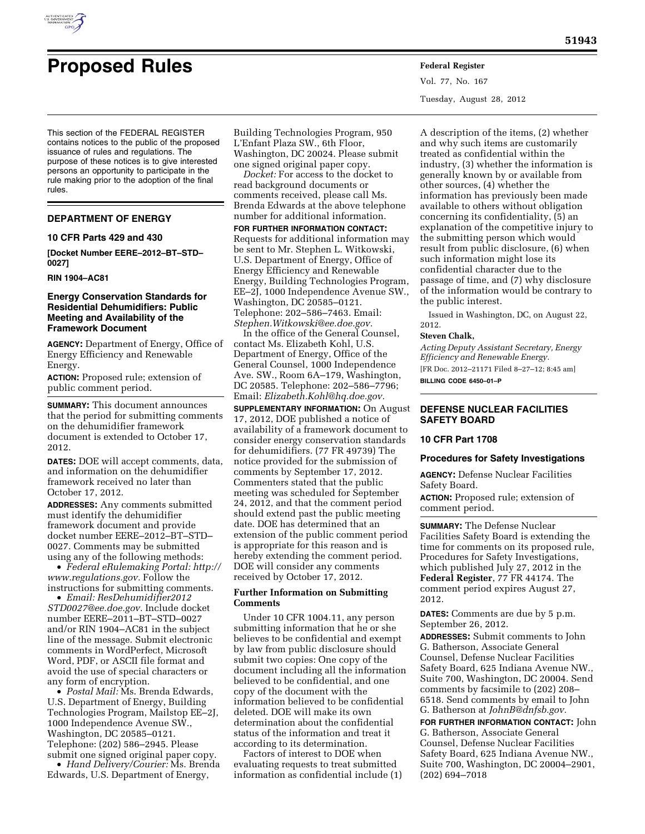

# **Proposed Rules Federal Register**

Vol. 77, No. 167 Tuesday, August 28, 2012

This section of the FEDERAL REGISTER contains notices to the public of the proposed issuance of rules and regulations. The purpose of these notices is to give interested persons an opportunity to participate in the rule making prior to the adoption of the final rules.

## **DEPARTMENT OF ENERGY**

#### **10 CFR Parts 429 and 430**

**[Docket Number EERE–2012–BT–STD– 0027]** 

#### **RIN 1904–AC81**

## **Energy Conservation Standards for Residential Dehumidifiers: Public Meeting and Availability of the Framework Document**

**AGENCY:** Department of Energy, Office of Energy Efficiency and Renewable Energy.

**ACTION:** Proposed rule; extension of public comment period.

**SUMMARY:** This document announces that the period for submitting comments on the dehumidifier framework document is extended to October 17, 2012.

**DATES:** DOE will accept comments, data, and information on the dehumidifier framework received no later than October 17, 2012.

**ADDRESSES:** Any comments submitted must identify the dehumidifier framework document and provide docket number EERE–2012–BT–STD– 0027. Comments may be submitted using any of the following methods:

• *Federal eRulemaking Portal: [http://](http://www.regulations.gov)  [www.regulations.gov.](http://www.regulations.gov)* Follow the instructions for submitting comments.

• *Email: [ResDehumidifier2012](mailto:ResDehumidifier2012STD0027@ee.doe.gov) [STD0027@ee.doe.gov.](mailto:ResDehumidifier2012STD0027@ee.doe.gov)* Include docket number EERE–2011–BT–STD–0027 and/or RIN 1904–AC81 in the subject line of the message. Submit electronic comments in WordPerfect, Microsoft Word, PDF, or ASCII file format and avoid the use of special characters or any form of encryption.

• *Postal Mail:* Ms. Brenda Edwards, U.S. Department of Energy, Building Technologies Program, Mailstop EE–2J, 1000 Independence Avenue SW., Washington, DC 20585–0121. Telephone: (202) 586–2945. Please submit one signed original paper copy. • *Hand Delivery/Courier:* Ms. Brenda

Edwards, U.S. Department of Energy,

Building Technologies Program, 950 L'Enfant Plaza SW., 6th Floor, Washington, DC 20024. Please submit one signed original paper copy.

*Docket:* For access to the docket to read background documents or comments received, please call Ms. Brenda Edwards at the above telephone number for additional information.

**FOR FURTHER INFORMATION CONTACT:**  Requests for additional information may be sent to Mr. Stephen L. Witkowski, U.S. Department of Energy, Office of Energy Efficiency and Renewable Energy, Building Technologies Program, EE–2J, 1000 Independence Avenue SW., Washington, DC 20585–0121. Telephone: 202–586–7463. Email: *[Stephen.Witkowski@ee.doe.gov.](mailto:Stephen.Witkowski@ee.doe.gov)* 

In the office of the General Counsel, contact Ms. Elizabeth Kohl, U.S. Department of Energy, Office of the General Counsel, 1000 Independence Ave. SW., Room 6A–179, Washington, DC 20585. Telephone: 202–586–7796; Email: *[Elizabeth.Kohl@hq.doe.gov.](mailto:Elizabeth.Kohl@hq.doe.gov)* 

**SUPPLEMENTARY INFORMATION:** On August 17, 2012, DOE published a notice of availability of a framework document to consider energy conservation standards for dehumidifiers. (77 FR 49739) The notice provided for the submission of comments by September 17, 2012. Commenters stated that the public meeting was scheduled for September 24, 2012, and that the comment period should extend past the public meeting date. DOE has determined that an extension of the public comment period is appropriate for this reason and is hereby extending the comment period. DOE will consider any comments received by October 17, 2012.

### **Further Information on Submitting Comments**

Under 10 CFR 1004.11, any person submitting information that he or she believes to be confidential and exempt by law from public disclosure should submit two copies: One copy of the document including all the information believed to be confidential, and one copy of the document with the information believed to be confidential deleted. DOE will make its own determination about the confidential status of the information and treat it according to its determination.

Factors of interest to DOE when evaluating requests to treat submitted information as confidential include (1)

A description of the items, (2) whether and why such items are customarily treated as confidential within the industry, (3) whether the information is generally known by or available from other sources, (4) whether the information has previously been made available to others without obligation concerning its confidentiality, (5) an explanation of the competitive injury to the submitting person which would result from public disclosure, (6) when such information might lose its confidential character due to the passage of time, and (7) why disclosure of the information would be contrary to the public interest.

Issued in Washington, DC, on August 22, 2012.

## **Steven Chalk,**

*Acting Deputy Assistant Secretary, Energy Efficiency and Renewable Energy.*  [FR Doc. 2012–21171 Filed 8–27–12; 8:45 am] **BILLING CODE 6450–01–P** 

# **DEFENSE NUCLEAR FACILITIES SAFETY BOARD**

# **10 CFR Part 1708**

#### **Procedures for Safety Investigations**

**AGENCY:** Defense Nuclear Facilities Safety Board.

**ACTION:** Proposed rule; extension of comment period.

**SUMMARY:** The Defense Nuclear Facilities Safety Board is extending the time for comments on its proposed rule, Procedures for Safety Investigations, which published July 27, 2012 in the **Federal Register**, 77 FR 44174. The comment period expires August 27, 2012.

**DATES:** Comments are due by 5 p.m. September 26, 2012.

**ADDRESSES:** Submit comments to John G. Batherson, Associate General Counsel, Defense Nuclear Facilities Safety Board, 625 Indiana Avenue NW., Suite 700, Washington, DC 20004. Send comments by facsimile to (202) 208– 6518. Send comments by email to John G. Batherson at *[JohnB@dnfsb.gov.](mailto:JohnB@dnfsb.gov)* 

**FOR FURTHER INFORMATION CONTACT:** John G. Batherson, Associate General Counsel, Defense Nuclear Facilities Safety Board, 625 Indiana Avenue NW., Suite 700, Washington, DC 20004–2901, (202) 694–7018